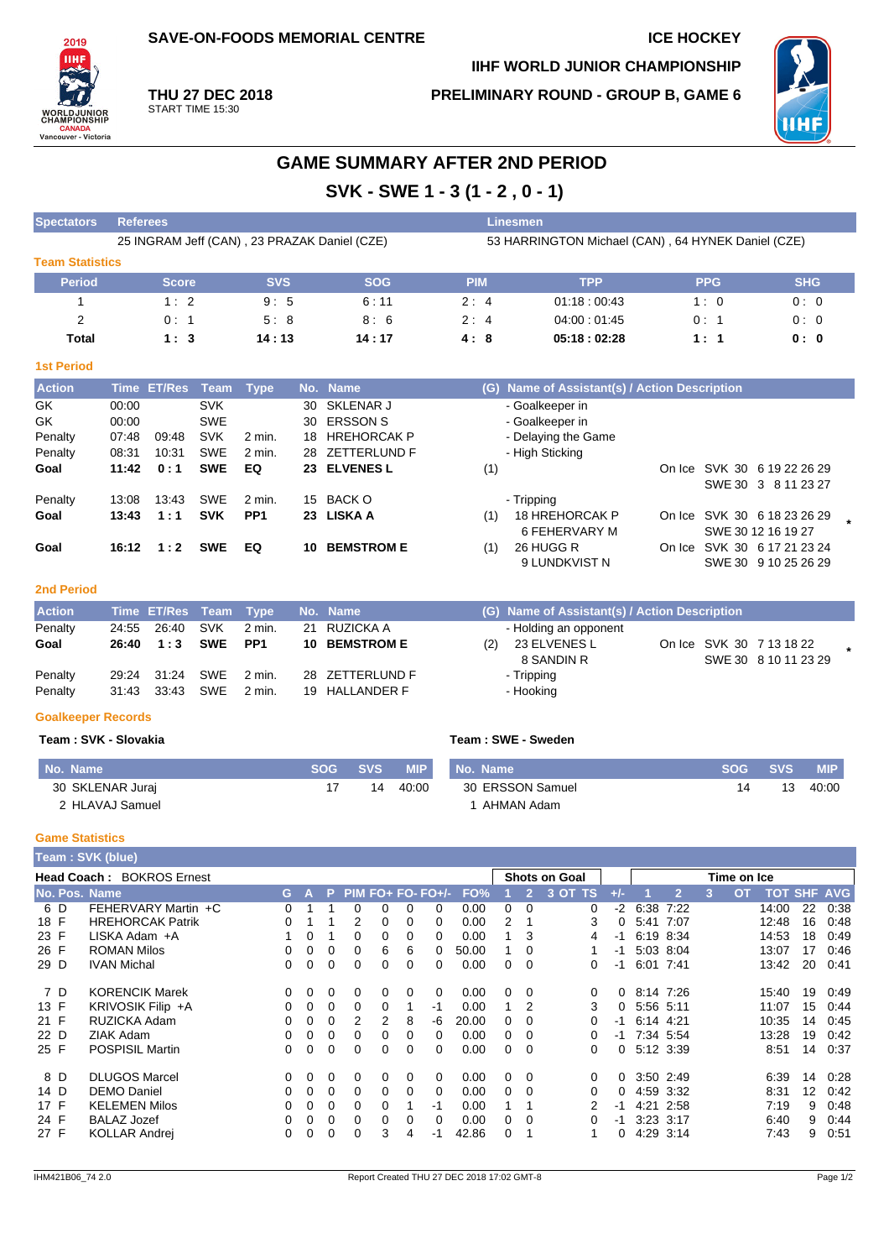**SAVE-ON-FOODS MEMORIAL CENTRE ICE HOCKEY** 

**PRELIMINARY ROUND - GROUP B, GAME 6**

**IIHF WORLD JUNIOR CHAMPIONSHIP**



**THU 27 DEC 2018** START TIME 15:30

2019 **TIHE** 

**WORLDJUNIOR**<br>CHAMPIONSHIP

**CANADA**<br>Vancouver - Victoria

# **GAME SUMMARY AFTER 2ND PERIOD SVK - SWE 1 - 3 (1 - 2 , 0 - 1)**

| <b>Spectators</b>         | <b>Referees</b>                              |                    |             |                 |                                |                          |                         |            |                   |                                                    |                    |     | <b>Linesmen</b> |                      |                       |                                   |      |                            |  |                                               |                |            |            |      |
|---------------------------|----------------------------------------------|--------------------|-------------|-----------------|--------------------------------|--------------------------|-------------------------|------------|-------------------|----------------------------------------------------|--------------------|-----|-----------------|----------------------|-----------------------|-----------------------------------|------|----------------------------|--|-----------------------------------------------|----------------|------------|------------|------|
|                           | 25 INGRAM Jeff (CAN), 23 PRAZAK Daniel (CZE) |                    |             |                 |                                |                          |                         |            |                   | 53 HARRINGTON Michael (CAN), 64 HYNEK Daniel (CZE) |                    |     |                 |                      |                       |                                   |      |                            |  |                                               |                |            |            |      |
| <b>Team Statistics</b>    |                                              |                    |             |                 |                                |                          |                         |            |                   |                                                    |                    |     |                 |                      |                       |                                   |      |                            |  |                                               |                |            |            |      |
| <b>Period</b>             |                                              | <b>Score</b>       |             | <b>SVS</b>      |                                |                          |                         | <b>SOG</b> |                   |                                                    | <b>PIM</b>         |     |                 |                      | <b>TPP</b>            |                                   |      |                            |  | <b>PPG</b>                                    |                | <b>SHG</b> |            |      |
| $\mathbf{1}$              |                                              | 1:2                |             | 9:5             |                                |                          |                         | 6:11       |                   |                                                    | 2:4                |     |                 |                      | 01:18:00:43           |                                   |      |                            |  | 1:0                                           |                | 0:0        |            |      |
| $\overline{c}$            |                                              | 0:1                |             | 5:8             |                                |                          |                         | 8:6        |                   |                                                    | 2:4                |     |                 |                      | 04:00:01:45           |                                   |      |                            |  | 0:1                                           |                | 0:0        |            |      |
| Total                     |                                              | 1:3                |             | 14:13           |                                |                          |                         | 14:17      |                   |                                                    | 4:8                |     |                 |                      | 05:18:02:28           |                                   |      |                            |  | 1:1                                           |                | 0: 0       |            |      |
| <b>1st Period</b>         |                                              |                    |             |                 |                                |                          |                         |            |                   |                                                    |                    |     |                 |                      |                       |                                   |      |                            |  |                                               |                |            |            |      |
| <b>Action</b>             |                                              | Time ET/Res        | Team        | <b>Type</b>     |                                | No. Name                 |                         |            |                   |                                                    |                    |     |                 |                      |                       |                                   |      |                            |  | (G) Name of Assistant(s) / Action Description |                |            |            |      |
| GK                        | 00:00                                        |                    | <b>SVK</b>  |                 | 30                             |                          | SKLENAR J               |            |                   |                                                    |                    |     |                 |                      | - Goalkeeper in       |                                   |      |                            |  |                                               |                |            |            |      |
| GK                        | 00:00                                        |                    | <b>SWE</b>  |                 | 30                             |                          | <b>ERSSON S</b>         |            |                   |                                                    |                    |     |                 |                      | - Goalkeeper in       |                                   |      |                            |  |                                               |                |            |            |      |
| Penalty                   | 07:48                                        | 09:48              | <b>SVK</b>  | 2 min.          | 18                             |                          | <b>HREHORCAK P</b>      |            |                   |                                                    |                    |     |                 |                      | - Delaying the Game   |                                   |      |                            |  |                                               |                |            |            |      |
| Penalty                   | 08:31                                        | 10:31              | <b>SWE</b>  | 2 min.          | 28                             |                          | ZETTERLUND F            |            |                   |                                                    |                    |     |                 | - High Sticking      |                       |                                   |      |                            |  |                                               |                |            |            |      |
| Goal                      | 11:42                                        | 0:1                | <b>SWE</b>  | EQ              | 23                             |                          | <b>ELVENES L</b>        |            |                   |                                                    |                    | (1) |                 |                      |                       |                                   |      |                            |  | On Ice SVK 30 6 19 22 26 29                   |                |            |            |      |
|                           |                                              |                    |             |                 |                                |                          |                         |            |                   |                                                    |                    |     |                 |                      |                       |                                   |      |                            |  | SWE 30 3 8 11 23 27                           |                |            |            |      |
| Penalty                   | 13:08                                        | 13:43              | <b>SWE</b>  | 2 min.          | 15                             |                          | <b>BACK O</b>           |            |                   |                                                    |                    |     |                 | - Tripping           |                       |                                   |      |                            |  |                                               |                |            |            |      |
| Goal                      | 13:43                                        | 1:1                | <b>SVK</b>  | PP <sub>1</sub> |                                |                          | 23 LISKA A              |            |                   |                                                    |                    | (1) |                 |                      | <b>18 HREHORCAK P</b> |                                   |      |                            |  | On Ice SVK 30 6 18 23 26 29                   |                |            |            |      |
|                           |                                              |                    |             |                 |                                |                          |                         |            |                   |                                                    |                    |     |                 |                      | 6 FEHERVARY M         |                                   |      |                            |  | SWE 30 12 16 19 27                            |                |            |            |      |
| Goal                      | 16:12                                        | 1:2                | <b>SWE</b>  | EQ              | 10                             |                          | <b>BEMSTROM E</b>       |            |                   |                                                    |                    | (1) |                 | 26 HUGG R            |                       |                                   |      |                            |  | On Ice SVK 30 6 17 21 23 24                   |                |            |            |      |
|                           |                                              |                    |             |                 |                                |                          |                         |            |                   |                                                    |                    |     |                 |                      | 9 LUNDKVIST N         |                                   |      |                            |  | SWE 30 9 10 25 26 29                          |                |            |            |      |
| <b>2nd Period</b>         |                                              |                    |             |                 |                                |                          |                         |            |                   |                                                    |                    |     |                 |                      |                       |                                   |      |                            |  |                                               |                |            |            |      |
| <b>Action</b>             |                                              | <b>Time ET/Res</b> | <b>Team</b> | <b>Type</b>     |                                | No. Name                 |                         |            |                   |                                                    |                    |     |                 |                      |                       |                                   |      |                            |  | (G) Name of Assistant(s) / Action Description |                |            |            |      |
| Penalty                   | 24:55                                        | 26:40              | <b>SVK</b>  | 2 min.          | 21                             |                          | <b>RUZICKA A</b>        |            |                   |                                                    |                    |     |                 |                      | - Holding an opponent |                                   |      |                            |  |                                               |                |            |            |      |
| Goal                      | 26:40                                        | 1:3                | <b>SWE</b>  | PP <sub>1</sub> | 10                             |                          | <b>BEMSTROM E</b>       |            |                   |                                                    |                    | (2) |                 |                      | 23 ELVENES L          |                                   |      |                            |  | On Ice SVK 30 7 13 18 22                      |                |            |            |      |
|                           |                                              |                    |             |                 |                                |                          |                         |            |                   |                                                    |                    |     |                 |                      | 8 SANDIN R            |                                   |      |                            |  | SWE 30 8 10 11 23 29                          |                |            |            |      |
| Penalty                   | 29:24                                        | 31:24              | <b>SWE</b>  | 2 min.          | 28                             |                          | ZETTERLUND F            |            |                   |                                                    |                    |     |                 | - Tripping           |                       |                                   |      |                            |  |                                               |                |            |            |      |
| Penalty                   | 31:43                                        | 33:43              | <b>SWE</b>  | 2 min.          | 19                             |                          | <b>HALLANDER F</b>      |            |                   |                                                    |                    |     |                 | - Hooking            |                       |                                   |      |                            |  |                                               |                |            |            |      |
| <b>Goalkeeper Records</b> |                                              |                    |             |                 |                                |                          |                         |            |                   |                                                    |                    |     |                 |                      |                       |                                   |      |                            |  |                                               |                |            |            |      |
| Team: SVK - Slovakia      |                                              |                    |             |                 |                                |                          |                         |            |                   |                                                    | Team: SWE - Sweden |     |                 |                      |                       |                                   |      |                            |  |                                               |                |            |            |      |
| No. Name                  |                                              |                    |             |                 |                                | <b>SOG</b>               | <b>SVS</b>              |            | <b>MIP</b>        |                                                    | No. Name           |     |                 |                      |                       |                                   |      |                            |  | <b>SOG</b>                                    | <b>SVS</b>     |            | <b>MIP</b> |      |
|                           | 30 SKLENAR Juraj                             |                    |             |                 |                                | 17                       |                         | 14         | 40:00             |                                                    |                    |     |                 | 30 ERSSON Samuel     |                       |                                   |      |                            |  | 14                                            | 13             |            | 40:00      |      |
|                           | 2 HLAVAJ Samuel                              |                    |             |                 |                                |                          |                         |            |                   |                                                    |                    |     |                 | 1 AHMAN Adam         |                       |                                   |      |                            |  |                                               |                |            |            |      |
|                           |                                              |                    |             |                 |                                |                          |                         |            |                   |                                                    |                    |     |                 |                      |                       |                                   |      |                            |  |                                               |                |            |            |      |
| <b>Game Statistics</b>    |                                              |                    |             |                 |                                |                          |                         |            |                   |                                                    |                    |     |                 |                      |                       |                                   |      |                            |  |                                               |                |            |            |      |
| Team: SVK (blue)          |                                              |                    |             |                 |                                |                          |                         |            |                   |                                                    |                    |     |                 |                      |                       |                                   |      |                            |  |                                               |                |            |            |      |
| Head Coach: BOKROS Ernest |                                              |                    |             |                 |                                |                          |                         |            |                   |                                                    |                    |     |                 | <b>Shots on Goal</b> |                       |                                   |      |                            |  | Time on Ice                                   |                |            |            |      |
| <b>No. Pos. Name</b>      |                                              |                    |             |                 | G<br>А                         | P                        |                         |            | PIM FO+ FO- FO+/- |                                                    | FO%                |     | 1               | $\overline{2}$       | 3 OT TS               | $+/-$                             | 1    | $\overline{2}$             |  | 3<br><b>OT</b>                                | <b>TOT SHF</b> |            | <b>AVG</b> |      |
| 6 D                       | FEHERVARY Martin +C                          |                    |             |                 | $\Omega$<br>$\mathbf{1}$       | $\mathbf{1}$             | $\mathbf 0$             | 0          | 0                 | 0                                                  | 0.00               |     | 0               | $\mathbf 0$          |                       | 0<br>$-2$                         |      | 6:38 7:22                  |  |                                               | 14:00          | 22         |            | 0:38 |
| 18 F                      | <b>HREHORCAK Patrik</b>                      |                    |             |                 | 1<br>0                         | $\mathbf{1}$             | $\overline{2}$          | 0          | 0                 | 0                                                  | 0.00               |     | 2               | 1                    |                       | 3<br>$\Omega$                     | 5:41 | 7:07                       |  |                                               | 12:48          | 16         |            | 0:48 |
| 23 F<br>26 F              | LISKA Adam + A<br>ROMAN Milos                |                    |             |                 | 1<br>0<br>$\Omega$<br>$\Omega$ | $\mathbf{1}$<br>$\Omega$ | $\mathbf 0$<br>$\Omega$ | 0<br>R     | 0<br>R            | 0<br>$\Omega$                                      | 0.00<br>50.00      |     | 1<br>1          | 3<br>$\Omega$        |                       | 4<br>$-1$<br>$\overline{1}$<br>-1 |      | 6:19 8:34<br>$5.03$ $8.04$ |  |                                               | 14:53<br>13.07 | 18<br>17   | 0:49       | 0.46 |

| 26 F | <b>ROMAN Milos</b>     | 0            |          |          |               | 6             | 6        | $\Omega$ | 50.00 |   | $\Omega$ |    | -1       | 5:03 8:04      | 13:07 | 17 | 0.46 |
|------|------------------------|--------------|----------|----------|---------------|---------------|----------|----------|-------|---|----------|----|----------|----------------|-------|----|------|
| 29 D | <b>IVAN Michal</b>     | 0            | $\Omega$ | 0        | 0             | $\Omega$      | $\Omega$ | 0        | 0.00  | 0 | - 0      | 0  |          | $-1$ 6:01 7:41 | 13:42 | 20 | 0.41 |
| 7 D  | <b>KORENCIK Marek</b>  | 0            | $\Omega$ | $\Omega$ | $\Omega$      | $\Omega$      | 0        | $\Omega$ | 0.00  | 0 | - 0      | 0  |          | $0$ 8:14 7:26  | 15:40 | 19 | 0:49 |
| 13 F | KRIVOSIK Filip +A      |              | $\Omega$ | $\Omega$ | $\Omega$      | $\Omega$      |          | -1       | 0.00  |   |          |    |          | 0, 5:56, 5:11  | 11:07 | 15 | 0:44 |
| 21 F | RUZICKA Adam           | <sup>0</sup> | $\Omega$ | $\Omega$ | $\mathcal{P}$ | $\mathcal{P}$ | 8        | -6       | 20.00 | 0 | - 0      |    | -1       | 6:14 4:21      | 10:35 | 14 | 0:45 |
| 22 D | ZIAK Adam              | 0            | $\Omega$ | $\Omega$ | $\Omega$      | $\Omega$      | $\Omega$ | 0        | 0.00  | 0 | - 0      |    |          | $-1$ 7:34 5:54 | 13:28 | 19 | 0:42 |
| 25 F | <b>POSPISIL Martin</b> |              | $\Omega$ | $\Omega$ | $\Omega$      | $\Omega$      | $\Omega$ | $\Omega$ | 0.00  | 0 | - 0      | 0  |          | 0, 5:12, 3:39  | 8:51  | 14 | 0:37 |
| 8 D  | <b>DLUGOS Marcel</b>   | 0            | $\Omega$ |          | 0             | $\Omega$      | 0        | $\Omega$ | 0.00  | 0 | - 0      | 0  |          | $0$ 3:50 2:49  | 6:39  | 14 | 0:28 |
| 14 D | <b>DEMO Daniel</b>     | <sup>0</sup> | $\Omega$ | $\Omega$ | $\Omega$      | $\Omega$      | $\Omega$ | $\Omega$ | 0.00  | 0 | - 0      | 0  | $\Omega$ | 4:59 3:32      | 8:31  | 12 | 0:42 |
| 17 F | <b>KELEMEN Milos</b>   | 0            | $\Omega$ | $\Omega$ | $\Omega$      | $\Omega$      |          | -1       | 0.00  |   |          | -1 |          | 4:21 2:58      | 7:19  | 9  | 0.48 |
| 24 F | <b>BALAZ Jozef</b>     |              | $\Omega$ | $\Omega$ | $\Omega$      | $\Omega$      | $\Omega$ | 0        | 0.00  | 0 | - 0      |    |          | $-1$ 3:23 3:17 | 6:40  | 9  | 0.44 |
| 27 F | <b>KOLLAR Andrei</b>   | 0            | $\Omega$ | $\Omega$ | $\Omega$      | 3             | 4        | -1       | 42.86 | 0 |          |    | 0        | 4:29 3:14      | 7:43  | 9  | 0.51 |
|      |                        |              |          |          |               |               |          |          |       |   |          |    |          |                |       |    |      |